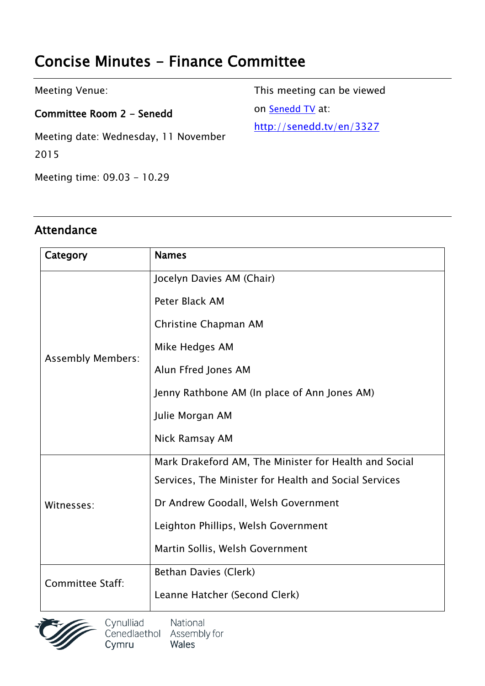# **Concise Minutes - Finance Committee**

| Meeting Venue:                               | This meeting can be viewed |
|----------------------------------------------|----------------------------|
| Committee Room 2 - Senedd                    | on Senedd TV at:           |
| Meeting date: Wednesday, 11 November<br>2015 | http://senedd.tv/en/3327   |

Meeting time: 09.03 - 10.29

#### **Attendance**

| Category                 | <b>Names</b>                                          |
|--------------------------|-------------------------------------------------------|
| <b>Assembly Members:</b> | Jocelyn Davies AM (Chair)                             |
|                          | Peter Black AM                                        |
|                          | Christine Chapman AM                                  |
|                          | Mike Hedges AM                                        |
|                          | Alun Ffred Jones AM                                   |
|                          | Jenny Rathbone AM (In place of Ann Jones AM)          |
|                          | Julie Morgan AM                                       |
|                          | Nick Ramsay AM                                        |
| Witnesses:               | Mark Drakeford AM, The Minister for Health and Social |
|                          | Services, The Minister for Health and Social Services |
|                          | Dr Andrew Goodall, Welsh Government                   |
|                          | Leighton Phillips, Welsh Government                   |
|                          | Martin Sollis, Welsh Government                       |
| <b>Committee Staff:</b>  | Bethan Davies (Clerk)                                 |
|                          | Leanne Hatcher (Second Clerk)                         |



Cynulliad National<br>Cenedlaethol Assembly for Wales Cymru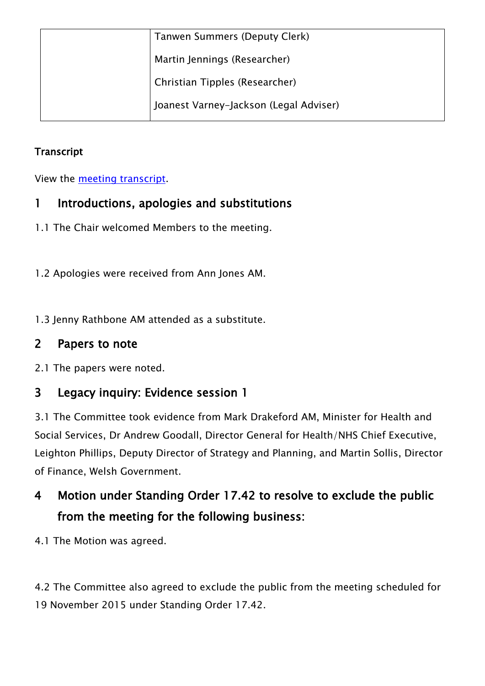| Tanwen Summers (Deputy Clerk)          |
|----------------------------------------|
| Martin Jennings (Researcher)           |
| Christian Tipples (Researcher)         |
| Joanest Varney-Jackson (Legal Adviser) |

#### **Transcript**

View the meeting [transcript](http://www.senedd.assemblywales.org/mgIssueHistoryHome.aspx?IId=1243).

### **1 Introductions, apologies and substitutions**

- 1.1 The Chair welcomed Members to the meeting.
- 1.2 Apologies were received from Ann Jones AM.
- 1.3 Jenny Rathbone AM attended as a substitute.

### **2 Papers to note**

2.1 The papers were noted.

### **3 Legacy inquiry: Evidence session 1**

3.1 The Committee took evidence from Mark Drakeford AM, Minister for Health and Social Services, Dr Andrew Goodall, Director General for Health/NHS Chief Executive, Leighton Phillips, Deputy Director of Strategy and Planning, and Martin Sollis, Director of Finance, Welsh Government.

## **4 Motion under Standing Order 17.42 to resolve to exclude the public from the meeting for the following business:**

4.1 The Motion was agreed.

4.2 The Committee also agreed to exclude the public from the meeting scheduled for 19 November 2015 under Standing Order 17.42.